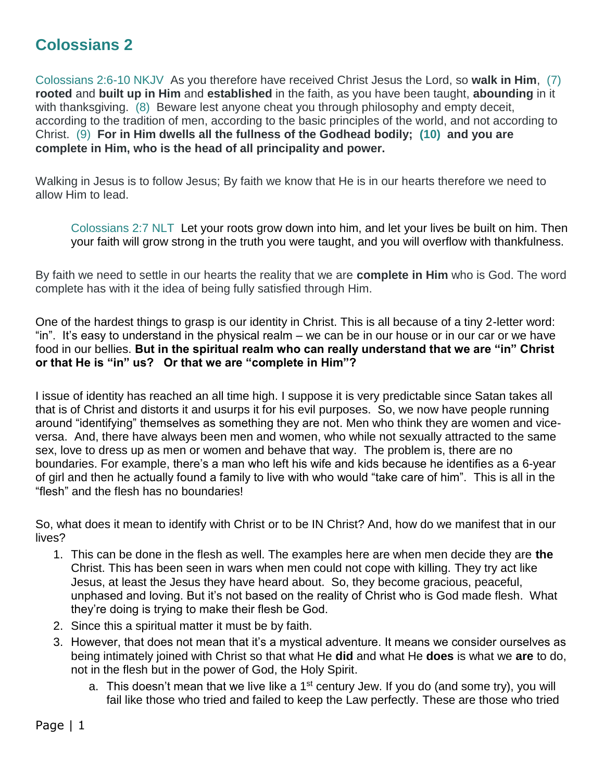## **Colossians 2**

Colossians 2:6-10 NKJV As you therefore have received Christ Jesus the Lord, so **walk in Him**, (7) **rooted** and **built up in Him** and **established** in the faith, as you have been taught, **abounding** in it with thanksgiving. (8) Beware lest anyone cheat you through philosophy and empty deceit, according to the tradition of men, according to the basic principles of the world, and not according to Christ. (9) **For in Him dwells all the fullness of the Godhead bodily; (10) and you are complete in Him, who is the head of all principality and power.**

Walking in Jesus is to follow Jesus; By faith we know that He is in our hearts therefore we need to allow Him to lead.

Colossians 2:7 NLT Let your roots grow down into him, and let your lives be built on him. Then your faith will grow strong in the truth you were taught, and you will overflow with thankfulness.

By faith we need to settle in our hearts the reality that we are **complete in Him** who is God. The word complete has with it the idea of being fully satisfied through Him.

One of the hardest things to grasp is our identity in Christ. This is all because of a tiny 2-letter word: "in". It's easy to understand in the physical realm – we can be in our house or in our car or we have food in our bellies. **But in the spiritual realm who can really understand that we are "in" Christ or that He is "in" us? Or that we are "complete in Him"?** 

I issue of identity has reached an all time high. I suppose it is very predictable since Satan takes all that is of Christ and distorts it and usurps it for his evil purposes. So, we now have people running around "identifying" themselves as something they are not. Men who think they are women and viceversa. And, there have always been men and women, who while not sexually attracted to the same sex, love to dress up as men or women and behave that way. The problem is, there are no boundaries. For example, there's a man who left his wife and kids because he identifies as a 6-year of girl and then he actually found a family to live with who would "take care of him". This is all in the "flesh" and the flesh has no boundaries!

So, what does it mean to identify with Christ or to be IN Christ? And, how do we manifest that in our lives?

- 1. This can be done in the flesh as well. The examples here are when men decide they are **the** Christ. This has been seen in wars when men could not cope with killing. They try act like Jesus, at least the Jesus they have heard about. So, they become gracious, peaceful, unphased and loving. But it's not based on the reality of Christ who is God made flesh. What they're doing is trying to make their flesh be God.
- 2. Since this a spiritual matter it must be by faith.
- 3. However, that does not mean that it's a mystical adventure. It means we consider ourselves as being intimately joined with Christ so that what He **did** and what He **does** is what we **are** to do, not in the flesh but in the power of God, the Holy Spirit.
	- a. This doesn't mean that we live like a  $1<sup>st</sup>$  century Jew. If you do (and some try), you will fail like those who tried and failed to keep the Law perfectly. These are those who tried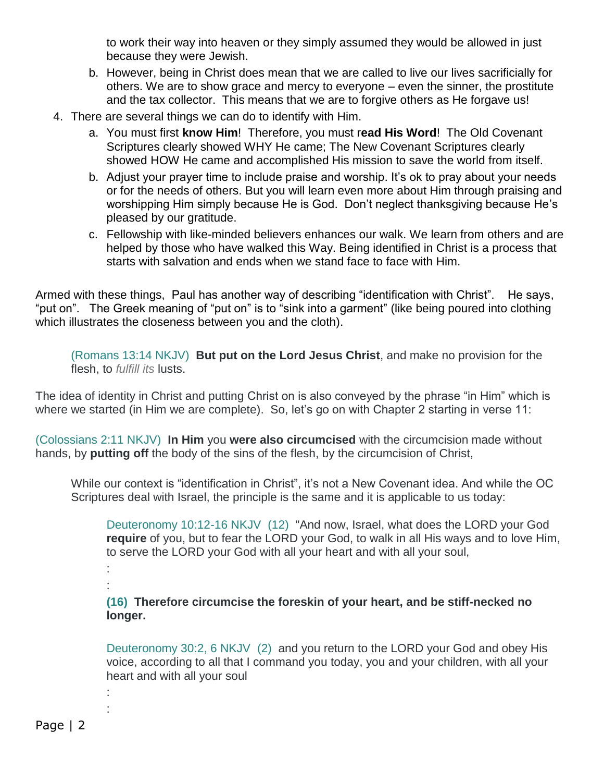to work their way into heaven or they simply assumed they would be allowed in just because they were Jewish.

- b. However, being in Christ does mean that we are called to live our lives sacrificially for others. We are to show grace and mercy to everyone – even the sinner, the prostitute and the tax collector. This means that we are to forgive others as He forgave us!
- 4. There are several things we can do to identify with Him.
	- a. You must first **know Him**! Therefore, you must r**ead His Word**! The Old Covenant Scriptures clearly showed WHY He came; The New Covenant Scriptures clearly showed HOW He came and accomplished His mission to save the world from itself.
	- b. Adjust your prayer time to include praise and worship. It's ok to pray about your needs or for the needs of others. But you will learn even more about Him through praising and worshipping Him simply because He is God. Don't neglect thanksgiving because He's pleased by our gratitude.
	- c. Fellowship with like-minded believers enhances our walk. We learn from others and are helped by those who have walked this Way. Being identified in Christ is a process that starts with salvation and ends when we stand face to face with Him.

Armed with these things, Paul has another way of describing "identification with Christ". He says, "put on". The Greek meaning of "put on" is to "sink into a garment" (like being poured into clothing which illustrates the closeness between you and the cloth).

(Romans 13:14 NKJV) **But put on the Lord Jesus Christ**, and make no provision for the flesh, to *fulfill its* lusts.

The idea of identity in Christ and putting Christ on is also conveyed by the phrase "in Him" which is where we started (in Him we are complete). So, let's go on with Chapter 2 starting in verse 11:

(Colossians 2:11 NKJV) **In Him** you **were also circumcised** with the circumcision made without hands, by **putting off** the body of the sins of the flesh, by the circumcision of Christ,

While our context is "identification in Christ", it's not a New Covenant idea. And while the OC Scriptures deal with Israel, the principle is the same and it is applicable to us today:

Deuteronomy 10:12-16 NKJV (12) "And now, Israel, what does the LORD your God **require** of you, but to fear the LORD your God, to walk in all His ways and to love Him, to serve the LORD your God with all your heart and with all your soul,

: :

: :

**(16) Therefore circumcise the foreskin of your heart, and be stiff-necked no longer.**

Deuteronomy 30:2, 6 NKJV (2) and you return to the LORD your God and obey His voice, according to all that I command you today, you and your children, with all your heart and with all your soul

Page | 2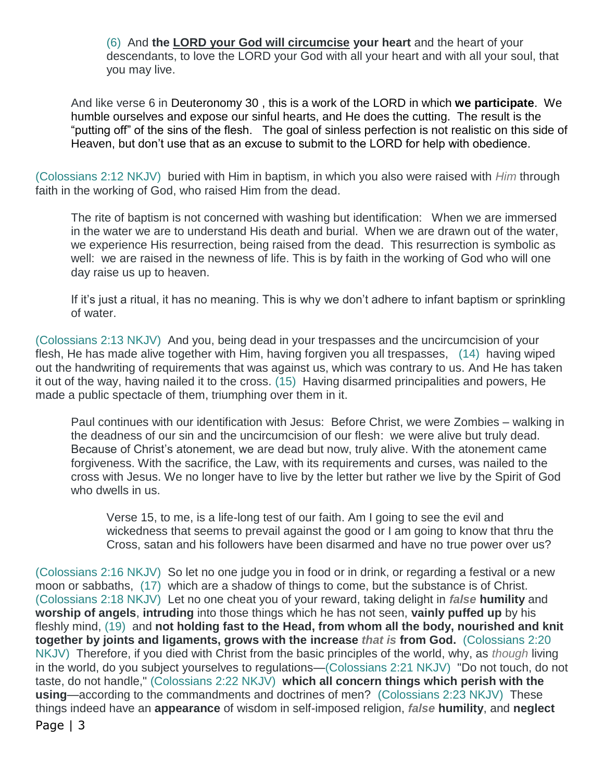(6) And **the LORD your God will circumcise your heart** and the heart of your descendants, to love the LORD your God with all your heart and with all your soul, that you may live.

And like verse 6 in Deuteronomy 30 , this is a work of the LORD in which **we participate**. We humble ourselves and expose our sinful hearts, and He does the cutting. The result is the "putting off" of the sins of the flesh. The goal of sinless perfection is not realistic on this side of Heaven, but don't use that as an excuse to submit to the LORD for help with obedience.

(Colossians 2:12 NKJV) buried with Him in baptism, in which you also were raised with *Him* through faith in the working of God, who raised Him from the dead.

The rite of baptism is not concerned with washing but identification: When we are immersed in the water we are to understand His death and burial. When we are drawn out of the water, we experience His resurrection, being raised from the dead. This resurrection is symbolic as well: we are raised in the newness of life. This is by faith in the working of God who will one day raise us up to heaven.

If it's just a ritual, it has no meaning. This is why we don't adhere to infant baptism or sprinkling of water.

(Colossians 2:13 NKJV) And you, being dead in your trespasses and the uncircumcision of your flesh, He has made alive together with Him, having forgiven you all trespasses, (14) having wiped out the handwriting of requirements that was against us, which was contrary to us. And He has taken it out of the way, having nailed it to the cross. (15) Having disarmed principalities and powers, He made a public spectacle of them, triumphing over them in it.

Paul continues with our identification with Jesus: Before Christ, we were Zombies – walking in the deadness of our sin and the uncircumcision of our flesh: we were alive but truly dead. Because of Christ's atonement, we are dead but now, truly alive. With the atonement came forgiveness. With the sacrifice, the Law, with its requirements and curses, was nailed to the cross with Jesus. We no longer have to live by the letter but rather we live by the Spirit of God who dwells in us.

Verse 15, to me, is a life-long test of our faith. Am I going to see the evil and wickedness that seems to prevail against the good or I am going to know that thru the Cross, satan and his followers have been disarmed and have no true power over us?

Page | 3 (Colossians 2:16 NKJV) So let no one judge you in food or in drink, or regarding a festival or a new moon or sabbaths, (17) which are a shadow of things to come, but the substance is of Christ. (Colossians 2:18 NKJV) Let no one cheat you of your reward, taking delight in *false* **humility** and **worship of angels**, **intruding** into those things which he has not seen, **vainly puffed up** by his fleshly mind, (19) and **not holding fast to the Head, from whom all the body, nourished and knit together by joints and ligaments, grows with the increase** *that is* **from God.** (Colossians 2:20 NKJV) Therefore, if you died with Christ from the basic principles of the world, why, as *though* living in the world, do you subject yourselves to regulations—(Colossians 2:21 NKJV) "Do not touch, do not taste, do not handle," (Colossians 2:22 NKJV) **which all concern things which perish with the using**—according to the commandments and doctrines of men? (Colossians 2:23 NKJV) These things indeed have an **appearance** of wisdom in self-imposed religion, *false* **humility**, and **neglect**